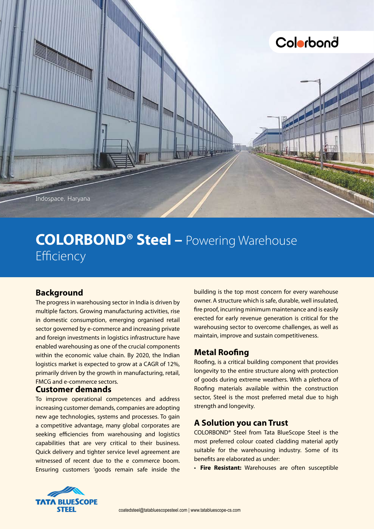

# **COLORBOND® Steel –** Powering Warehouse Efficiency

## **Background**

The progress in warehousing sector in India is driven by multiple factors. Growing manufacturing activities, rise in domestic consumption, emerging organised retail sector governed by e-commerce and increasing private and foreign investments in logistics infrastructure have enabled warehousing as one of the crucial components within the economic value chain. By 2020, the Indian logistics market is expected to grow at a CAGR of 12%, primarily driven by the growth in manufacturing, retail, FMCG and e-commerce sectors.

#### **Customer demands**

To improve operational competences and address increasing customer demands, companies are adopting new age technologies, systems and processes. To gain a competitive advantage, many global corporates are seeking efficiencies from warehousing and logistics capabilities that are very critical to their business. Quick delivery and tighter service level agreement are witnessed of recent due to the e commerce boom. Ensuring customers 'goods remain safe inside the

building is the top most concern for every warehouse owner. A structure which is safe, durable, well insulated, fire proof, incurring minimum maintenance and is easily erected for early revenue generation is critical for the warehousing sector to overcome challenges, as well as maintain, improve and sustain competitiveness.

## **Metal Roofing**

Roofing, is a critical building component that provides longevity to the entire structure along with protection of goods during extreme weathers. With a plethora of Roofing materials available within the construction sector, Steel is the most preferred metal due to high strength and longevity.

# **A Solution you can Trust**

COLORBOND® Steel from Tata BlueScope Steel is the most preferred colour coated cladding material aptly suitable for the warehousing industry. Some of its benefits are elaborated as under:

• **Fire Resistant:** Warehouses are often susceptible

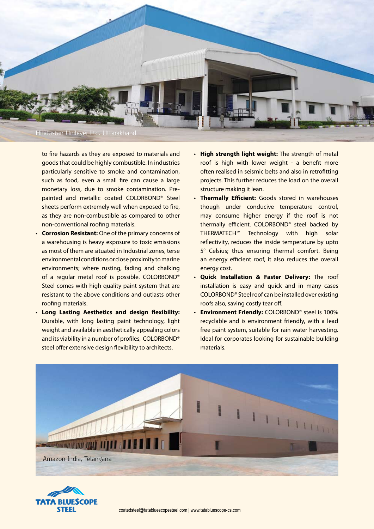

to fire hazards as they are exposed to materials and goods that could be highly combustible. In industries particularly sensitive to smoke and contamination, such as food, even a small fire can cause a large monetary loss, due to smoke contamination. Prepainted and metallic coated COLORBOND® Steel sheets perform extremely well when exposed to fire, as they are non-combustible as compared to other non-conventional roofing materials.

- **Corrosion Resistant:** One of the primary concerns of a warehousing is heavy exposure to toxic emissions as most of them are situated in Industrial zones, terse environmental conditions or close proximity to marine environments; where rusting, fading and chalking of a regular metal roof is possible. COLORBOND® Steel comes with high quality paint system that are resistant to the above conditions and outlasts other roofing materials.
- • **Long Lasting Aesthetics and design flexibility:** Durable, with long lasting paint technology, light weight and available in aesthetically appealing colors and its viability in a number of profiles, COLORBOND® steel offer extensive design flexibility to architects.
- • **High strength light weight:** The strength of metal roof is high with lower weight - a benefit more often realised in seismic belts and also in retrofitting projects. This further reduces the load on the overall structure making it lean.
- **Thermally Efficient:** Goods stored in warehouses though under conducive temperature control, may consume higher energy if the roof is not thermally efficient. COLORBOND® steel backed by THERMATECH™ Technology with high solar reflectivity, reduces the inside temperature by upto 5° Celsius; thus ensuring thermal comfort. Being an energy efficient roof, it also reduces the overall energy cost.
- • **Quick Installation & Faster Delivery:** The roof installation is easy and quick and in many cases COLORBOND® Steel roof can be installed over existing roofs also, saving costly tear off.
- • **Environment Friendly:** COLORBOND® steel is 100% recyclable and is environment friendly, with a lead free paint system, suitable for rain water harvesting. Ideal for corporates looking for sustainable building materials.